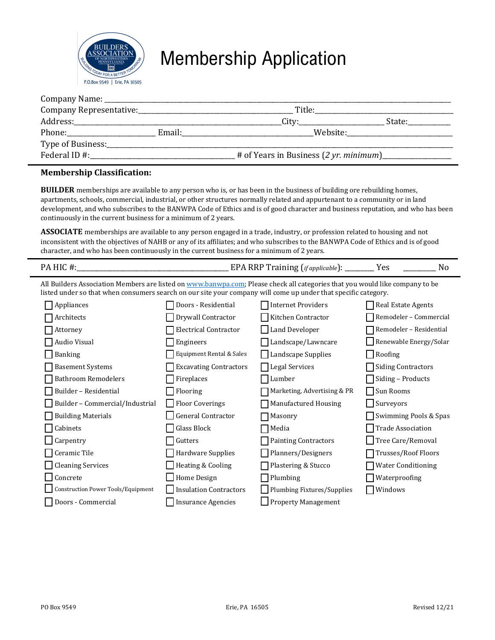

# Membership Application

|               |        | Title:   |           |
|---------------|--------|----------|-----------|
| Address:      |        | City:    | State:___ |
|               | Email: | Website: |           |
|               |        |          |           |
| Federal ID #: |        |          |           |

### **Membership Classification:**

**BUILDER** memberships are available to any person who is, or has been in the business of building ore rebuilding homes, apartments, schools, commercial, industrial, or other structures normally related and appurtenant to a community or in land development, and who subscribes to the BANWPA Code of Ethics and is of good character and business reputation, and who has been continuously in the current business for a minimum of 2 years.

**ASSOCIATE** memberships are available to any person engaged in a trade, industry, or profession related to housing and not inconsistent with the objectives of NAHB or any of its affiliates; and who subscribes to the BANWPA Code of Ethics and is of good character, and who has been continuously in the current business for a minimum of 2 years.

| $\mathbf{D}\Delta$ |  | ____________ |               |    |  | ' annlicable <b>i</b> |   | $\sim$<br>ュしい |  |
|--------------------|--|--------------|---------------|----|--|-----------------------|---|---------------|--|
| $\cdots$           |  | $ -$         | $\sim$ $\sim$ | -- |  |                       | . |               |  |

All Builders Association Members are listed o[n www.banwpa.com;](http://www.banwpa.com/) Please check all categories that you would like company to be listed under so that when consumers search on our site your company will come up under that specific category.

| $\Box$ Appliances                  | Doors - Residential           | <b>Internet Providers</b>   | Real Estate Agents        |
|------------------------------------|-------------------------------|-----------------------------|---------------------------|
| Architects                         | Drywall Contractor            | Kitchen Contractor          | Remodeler - Commercial    |
| Attorney                           | <b>Electrical Contractor</b>  | <b>Land Developer</b>       | Remodeler - Residential   |
| Audio Visual                       | Engineers                     | Landscape/Lawncare          | Renewable Energy/Solar    |
| <b>Banking</b>                     | Equipment Rental & Sales      | Landscape Supplies          | Roofing                   |
| <b>Basement Systems</b>            | <b>Excavating Contractors</b> | <b>Legal Services</b>       | Siding Contractors        |
| <b>Bathroom Remodelers</b>         | Fireplaces                    | Lumber                      | Siding - Products         |
| Builder - Residential              | Flooring                      | Marketing, Advertising & PR | Sun Rooms                 |
| Builder - Commercial/Industrial    | <b>Floor Coverings</b>        | Manufactured Housing        | $\Box$ Surveyors          |
| <b>Building Materials</b>          | <b>General Contractor</b>     | Masonry                     | Swimming Pools & Spas     |
| Cabinets                           | Glass Block                   | Media                       | <b>Trade Association</b>  |
| $\Box$ Carpentry                   | Gutters                       | <b>Painting Contractors</b> | Tree Care/Removal         |
| Ceramic Tile                       | Hardware Supplies             | Planners/Designers          | Trusses/Roof Floors       |
| Cleaning Services                  | <b>Heating &amp; Cooling</b>  | Plastering & Stucco         | <b>Water Conditioning</b> |
| Concrete                           | Home Design                   | Plumbing                    | Waterproofing             |
| Construction Power Tools/Equipment | <b>Insulation Contractors</b> | Plumbing Fixtures/Supplies  | Windows                   |
| Doors - Commercial                 | <b>Insurance Agencies</b>     | <b>Property Management</b>  |                           |